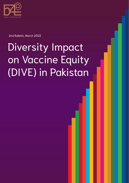# Diversity Impact on Vaccine Equity

# (DIVE) in Pakistan

- 
- 
- 
- 
- 
- 
- 
- - - -





2nd Bulletin, March 2022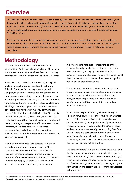This is the second bulletin of the research, conducted by Bytes for All (B4A) and Minority Rights Group (MRG), with the aim of tracking and understanding online sharing across diverse ethnic, religious and linguistic communities about Covid-19 vaccine confidence, uptake and access in Pakistan. For this purpose, social media monitoring software packages: Brandwatch and CrowdTangle were used to capture and analyse content shared online about Covid-19 vaccines.

Due to partial penetration of social media use among some poor/remote communities, the social media data is triangulated. For data triangulation, B4A has collected on-the-ground data from different areas of Pakistan, about vaccine access uptake, fears and confidence among religious minority groups, through a network of citizen journalists.

## **Overview**

[1] Shia community is yet Muslim but can come under sectarian minorities, however, Ahmadi community call themselves to be recognized as Muslim, but Constitution and populace of Muslim community doesn't recognize them as Muslims.

# **Methodology**

Interviews were conducted in Islamabad, Rawalpindi, Multan, Lahore, Sargodha, Faisalabad, Peshawar, Rabwah, Quetta, while a survey was conducted in Sanghar, Mirpurkhas, Umarkot and Tharparkar. These locations were selected for a number of reasons: 1) to include all provinces of Pakistan; 2) to ensure urban and rural areas both were included; 3) to focus on locations with larger minority populations. The interviews were conducted with members of minority communities: Hindus (164), Christians (16), Sikhs (9), Shia Muslims (3), Ahmaddiya (6), Hazara (4) and transgender (6), with Hindu constituting 81 per cent of those interviewed, with the rest making up to 8 per cent (Christians) and lower. Therefore, these data cannot be considered

The data sources for this research are Facebook comments (n=424), journalistic articles (n=12), a video story based on the in-person interviews, and a survey of minority communities from various cities of Pakistan. It is important to note that representatives of the communities, religious leaders and researchers, who were interviewed, usually spoke on behalf of the community and provided observations, hence analysis of their comments is not based on their personal opinions per se, but on their observations.

representative of all ethno-religious minorities in Pakistan, but rather indicate common trends among the communities surveyed.

A total of 213 comments were selected from the onground data from interviews and a survey. These comments included voices of local community and religious representatives, researchers and ordinary residents of these communities (154 men, 50 women, 6 transgender people). Of those 213, 202 could be identified as members of minority communities.

Due to various limitations, such as lack of access to internet among minority communities, who often reside in remote location in Pakistan, the Facebook data analysed mainly represents the views of the Sunni Muslim population (96 per cent), later referred as majority community.

Sunni Muslims represents a majority community in Pakistan, however, there are other Muslim communities, such as Shia and Ahmadiyya that are members of Muslim minorities[1], among other minority communities. Thus, some comments identified as from Muslim social media users do not necessarily mean coming from Sunni Muslim. There is a possibility that those identified as majority Muslim may belong to a minority Muslim community, however, given the limitation of social media this information may not be clarified.

The data generated from the interviews, the survey and the Facebook comments were analysed with respect to their sentiments on: (1) Covid-19 vaccine confidence, (2) reservations towards the vaccine, (3) access to vaccines, and (4) distrust in government authorities regarding the administration and dissemination of information related to the vaccine.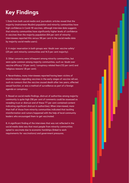# **Key Findings**

1. Data from both social media and journalistic articles reveal that the majority (mainstream Muslim) population and minority communities have high confidence in Covid-19 vaccines, although interview data suggests that minority communities have significantly higher levels of confidence in vaccines than the majority population (64 per cent of minority interviewees reported this versus 38 per cent in the social media data by majority social media users).

2. A major reservation in both groups was 'doubt over vaccine safety' (25 per cent minority communities and 14.3 per cent majority).

3. Other concerns were infrequent among minority communities, but were quite common among majority communities, such as 'doubt over vaccine efficacy' (11 per cent), 'conspiracy related fears'(12 per cent) and 'religious reasons' (8 per cent).

4. Nevertheless, many interviewees reported having been victims of misinformation regarding vaccines in the early stages of vaccine roll out, such as rumours that the vaccine caused death after two years, affected sexual function, or was a method of surveillance as part of a foreign agenda or conspiracy.

5. Based on social media findings, distrust of authorities among majority community is quite high (58 per cent of comments could be assessed as revealing trust or distrust and of these 77 per cent contained content indicating significant distrust in authorities). When interviewed, more than half of those from minority communities indicated that tackling misinformation and rumors happened with the help of local community leaders who encouraged them to get vaccinated.

6. A significant finding of the interviews that was not reflected in the social media data was that most people from minority communities opted to vaccinate due to economic hardships (linked to work requirements for vaccinations) and government pressures.

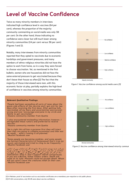Twice as many minority members in interviews indicated high confidence level in vaccines (64 per cent), whereas the proportion of the majority community commenting on social media was only 38 per cent. On the other hand, those indicating no confidence were closer but still much lower among minority communities (24 per cent versus 36 per cent) (Figures 1 and 2).

Notably, many interviewees from minority communities reported that they opted to vaccinate due to economic hardships and government pressures, and many members of ethno-religious minorities did not have the



option to work from home, so in a way they were forced to choose vaccination. Yet, as mentioned in the first bulletin, women who are housewives did not face the same external pressure to get vaccinated because they don't leave their house as often.[2] The fact that the majority of those interviewed were men, with this economic factor at play, partially explains the high level of confidence in vaccines among minority communities.

## **Level of Vaccine Confidence**

[2] In Pakistan, proof of vaccination such as vaccination certificates are a mandatory pre-requisite to visit public places.

[3] Of 424 conversations, only 93.4% were about vaccine confidence

#### *Figure 1: Vaccine confidence among social media users [3]*



**-Muslim Facebook user** بس کرو مزید <sup>ی</sup>ہودی سازشو<sup>ں</sup> کا سات<sup>ھ</sup> مت اگر آپ مسلمان ہیں تو اسلامی فرعون بچ <sup>ن</sup><sup>ہ</sup> ے احکامات پر عملٰ کرو موتِ اپنے وقت پر آئے گا موت س ے اللہ کے مخلوق کو اپنے حال پر چھوڑ دو سکا آپ کس کو بچائی<sup>ں</sup> <sup>گ</sup> *Translation: Stop it. Don 't suppor*t J*ewish conspiracies. If you are a Muslim, follow Islamic orders. Death will come at its time. Pharaoh could not escape death. Whom will you save? Leave the creatures Allah on their own.*



**Minority Communities** 

*Figure 2: Vaccine confidence among interviewed minority commun*

#### *Relevant Qualitative Findings*

*'People had been spreading all sorts of news about the grave side effects of the vaccine and I got sick for two days after receiving the first dose. After getting fully vaccinated, all my fears and uncertainties were proven wrong and now I encourage everyone in my circle and family to get vaccinated.'* -Hazara community member from Quetta

*'I also encountered misleading information; however, I disregarded these rumors and preferred to receive vaccine.'*

-Hazara community member from Quetta



*'He is right this all has a purpose first they will inject then they are going to collapse economies and then war be ready ... what's coming is all planned.'* -Muslim Facebook user

*'Some people are becoming zombies. and some people are having Characteristics of homosexual that's true my cousin vaccinated and tried to cling to me frequently.'* -Muslim Facebook user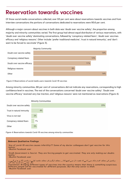Of those social media conversations collected, over 93 per cent were about reservations towards vaccines and from interview conversations the portions of conversations dedicated to reservations were 95.6 per cent.

Although a major concern about vaccines in both data was 'doubt over vaccine safety' , the proportion among majority and minority communities varied. The first group had almost equal distribution of various reservations, with 'doubt over vaccine safety' dominating conversations, followed by 'conspiracy related fears', 'doubt over vaccines efficacy and 'religious reasons'. Other include: 'prefer traditional medicine', 'trust in natural immunity', and 'don't want to be forced to vaccinate' (Figure 3).



#### **Majority Community**



Among minority communities, 66 per cent of conversations did not indicate any reservations, corresponding to high confidence level in vaccines. The rest of the conversations concerned 'doubt over vaccine safety'. 'Doubt over vaccine efficacy' received very low traction, and 'religious reasons' were not mentioned as reservations (Figure 4).



ویکسین ک*ی محتلف اقسام ملک میں ل*انے کا مقصد دال میں کچھ کالا۔۔۔ محتلف لوگوں کو محتلف مقاصد کیل<sub>ے</sub>ء ویکسین لگاۓ جاۓ گے۔۔۔۔<br>مگر بجان<sub>ے</sub> واللہ صرف ایک اللہ Iranslation: Bringing<br>النسمة الجمعية مگر بچانے والا صرف آیک اللہ *Translation: Bringing different types of vaccines into the country means that there is something suspicious. Different people will be vaccinated for different purposes. But the only savior is Allah.* -Muslim Facebook user

## **Reservation towards vaccines**

*Figure 3: Reservations of social media users towards Covid-19 vaccines*

#### *Relevant Qualitative Findings*

*'Any of covid-19 vaccine causes infertility?? Some of my doctor colleagues don 't get vaccine for this reason.'*

-Muslim Facebook user

*'Sindh Government is fascist. They are forcing people to get vaccinated. They are only making our doubts reality.'*

-Muslim Facebook user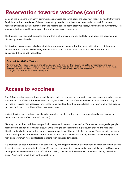Some of the members of minority communities expressed concerns about the vaccines' impact on health: they were fearful about the side effects of the vaccines. Many revealed that they have been victims of misinformation regarding vaccines, such as rumours that the vaccine caused death after two years, affected sexual functioning, or it was a method for surveillance as part of a foreign agenda or conspiracy.

The findings from Facebook data also confirm that a lot of misinformation and fake news about the vaccines was circulating on social media.

In interviews, many people talked about misinformation and rumours that they dealt with initially, but they also mentioned that their local community leaders helped them counter these rumors and misinformation and encouraged them to get vaccinated.

Only 60 per cent of conversations in social media could be assessed in relation to access or issues around access to vaccination. Out of those that could be assessed, nearly 60 per cent of social media users indicated that they did not face any issues with access. A very similar trend was found on the data collected from interviews, where over 92 per cent indicated no problem with access to vaccines.

Unlike interview conversations, social media data also revealed that in some cases social media users could not access second dose of vaccines (16 per cent).

'Initially on Facebook, YouTube and other social media we saw that everyone getting vaccinated will die in two years. It took me 4-5 months to make up my mind, and so far haven't received any infection or other side *effects. We haven 't seen any incident where religion became base for discrimination.'* -45-year-old Hindu man from Rawalpindi

Minority communities had their own particular issues with access to vaccination. For example, transgender people faced several gender discrimination issues while trying to get vaccinated. In particular, they had to hide their

identity while visiting vaccination centers in an attempt to avoid being ridiculed by people. There wasn't a separate line for trans people so they either had to queue up in a line for men or for women; however, unfortunately neither men and nor women were comfortable standing with transgender people.

It' s important to note that members of both minority and majority communities mentioned similar issues with access to vaccines, such as administrative issues (9 per cent among majority community from social media and 5 per cent among minority communities), and difficulty accessing vaccines in the area or vaccine centers being located far away (7 per cent versus 2 per cent respectively).

# **Reservation towards vaccines (cont'd)**

#### *Relevant Qualitative Findings*

## **Access to vaccines**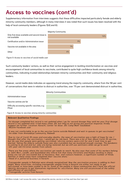Supplementary information from interviews suggests that these difficulties impacted particularly female and elderly minority community members, although in many interviews it was noted that such issues has been resolved with the help of local community leaders (Figures 5[4] and 6).



Certification and/or Administration issue

Vaccine not available in the area

Other





Such community leaders ' actions, as well as their active engagement in tackling misinformation on vaccines and encouragement of local communities to vaccinate, contributed to quite high confidence levels among minority communities, indicating trusted relationships between minority communities and their community and religious leaders.

'1st dosage completed but record is not updated when I go for second dosage they said me your first dosage *record is not updated and I tried many times JDC but they ' re not giving any positive response. Kindly suggest me further. Location: Karachi, Center 1st dose: JDC Camp Malir Saudabad.'* -Muslim Facebook user

However, social media data indicates an opposing trend among the majority community, where from the 58 per cent of conversations that were in relation to distrust in authorities, over 75 per cent demonstrated distrust in authorities.



'It was not comfortable to go to the vaccine Centre outside Rabwah and wait in queues to get vaccinated.' -An elder from Ahmaddiya community, Rabwah

# **Access to vaccines (cont'd)**

*Figure 5: Access to vaccines of social media user*

*Figure 6: Access to vaccines among minority communities*

#### *Relevant Qualitative Findings*

'Due to rise of Covid-19 cases and everyday deaths, the news of vaccination was a light of hope for me. I thought that after the vaccination, I would get my job back. There was a lot of fear about Covid-19 vaccine, but we saw that people were getting vaccinated. vaccine centers were a bit far and it took time to get *started. Taking the elderly outside home was also a problem but we mustered enough courage. The pandemic* is coming to an end and our jobs are being restored, but we still use sanitizers when we go to work.' -25-year-old Christian woman from Lahore

'There are few areas where the vaccination yet needs to reach. He also says that some of his workers belong *to Jokhi Morr, Landhi, and Quaidabad who inform him that many Christians and Hindus residing in these areas are not yet vaccinated due to hesitancy, fear, and rumours however, a significant number of Hindu families in these areas have completed their vaccine shots.'* -Head of a janitorial business in Karachi

'Transgender people in Pakistan were already marginalized. Now the vaccination process is adding to their pright. Many minoritie<br>Vaccinated or have h *plight. Many minorities, including transgender people living in Karachi are either not ready to get* vaccinated, or have been unable to do so. Some of the people in these communities don't have the official *identity documents to get themselves registered for vaccination. Many are still unconvinced of the safety and efficacy of vaccination.'* -Transgender activist from Karachi

[4] Others include: I can't access the centre, I was refused the vaccine, vaccine is not free, each less than 1 per cent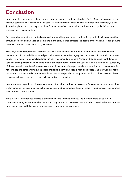# **Conclusion**

Upon launching the research, the evidence about access and confidence levels in Covid-19 vaccines among ethnoreligious communities was limited in Pakistan. Throughout this research we collected data from Facebook, citizen journalism pieces, and a survey to analyze factors that affect the vaccine confidence and uptake in Pakistan among minority communities.

Our research demonstrated that misinformation was widespread among both majority and minority communities through social media and word of mouth and in the early stages affected the uptake of the vaccine creating doubts about vaccines and mistrust in the government.

However, imposed requirements linked to paid work and commerce created an environment that forced many people to vaccinate and this impacted particularly on communities largely involved in low paid jobs with no option to work from home – which included many minority community members. Although it led to higher confidence in vaccines among minority communities (due to the fact that those forced to vaccinate in this way did not suffer any of the rumoured side effects), we can assume such measures disproportionally had least impact on women (mainly housewives) and other unemployed people (including elderly and people with disabilities), who may well still not feel the need to be vaccinated as they do not leave houses frequently, this may either be due to their personal choice or may result from a lack of freedom to leave and access vaccine.

Hence, we found significant differences in levels of vaccine confidence, in reasons for reservations about vaccines and in some way access to vaccines between social media users identifiable as majority and minority communities from interviews and a survey.

While distrust in authorities showed extremely high levels among majority social media users, trust in local authorities among minority members was much higher, and in a way also contributed to a high level of vaccination (after some reported false starts) and success in tackling misinformation.